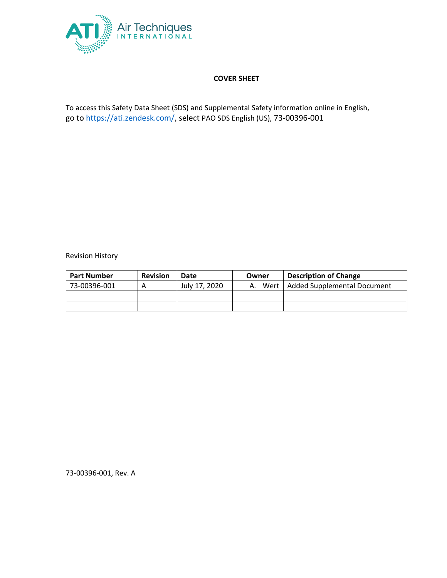

# **COVER SHEET**

To access this Safety Data Sheet (SDS) and Supplemental Safety information online in English, go to [https://ati.zendesk.com/,](https://ati.zendesk.com/) select PAO SDS English (US), 73-00396-001

Revision History

| <b>Part Number</b> | <b>Revision</b> | Date          | Owner   | <b>Description of Change</b>       |
|--------------------|-----------------|---------------|---------|------------------------------------|
| 73-00396-001       |                 | July 17, 2020 | A. Wert | <b>Added Supplemental Document</b> |
|                    |                 |               |         |                                    |
|                    |                 |               |         |                                    |

73-00396-001, Rev. A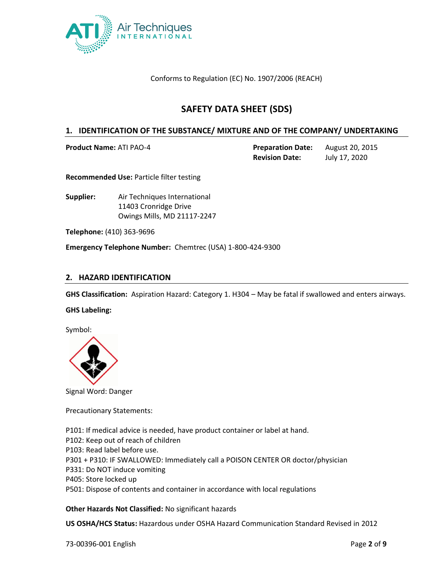

Conforms to Regulation (EC) No. 1907/2006 (REACH)

# **SAFETY DATA SHEET (SDS)**

### **1. IDENTIFICATION OF THE SUBSTANCE/ MIXTURE AND OF THE COMPANY/ UNDERTAKING**

**Product Name:** ATI PAO-4 **Preparation Date:** August 20, 2015

**Revision Date:** July 17, 2020

**Recommended Use:** Particle filter testing

**Supplier:** Air Techniques International 11403 Cronridge Drive Owings Mills, MD 21117-2247

**Telephone:** (410) 363-9696

**Emergency Telephone Number:** Chemtrec (USA) 1-800-424-9300

## **2. HAZARD IDENTIFICATION**

**GHS Classification:** Aspiration Hazard: Category 1. H304 – May be fatal if swallowed and enters airways.

**GHS Labeling:**

Symbol:



Signal Word: Danger

Precautionary Statements:

P101: If medical advice is needed, have product container or label at hand. P102: Keep out of reach of children P103: Read label before use. P301 + P310: IF SWALLOWED: Immediately call a POISON CENTER OR doctor/physician P331: Do NOT induce vomiting P405: Store locked up P501: Dispose of contents and container in accordance with local regulations

**Other Hazards Not Classified:** No significant hazards

**US OSHA/HCS Status:** Hazardous under OSHA Hazard Communication Standard Revised in 2012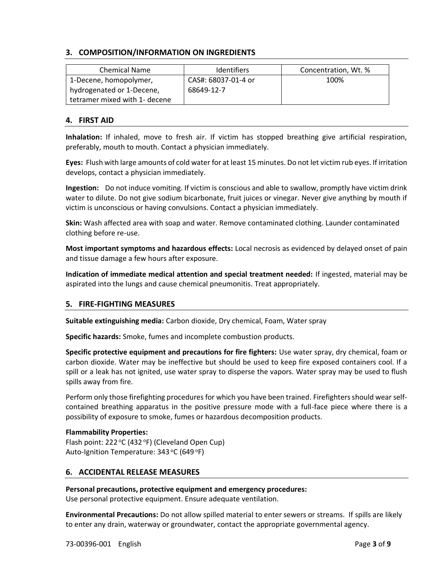## **3. COMPOSITION/INFORMATION ON INGREDIENTS**

| <b>Chemical Name</b>          | <b>Identifiers</b>  | Concentration, Wt. % |
|-------------------------------|---------------------|----------------------|
| 1-Decene, homopolymer,        | CAS#: 68037-01-4 or | 100%                 |
| hydrogenated or 1-Decene,     | 68649-12-7          |                      |
| tetramer mixed with 1- decene |                     |                      |

### **4. FIRST AID**

**Inhalation:** If inhaled, move to fresh air. If victim has stopped breathing give artificial respiration, preferably, mouth to mouth. Contact a physician immediately.

**Eyes:** Flush with large amounts of cold water for at least 15 minutes. Do not let victim rub eyes. If irritation develops, contact a physician immediately.

**Ingestion:** Do not induce vomiting. If victim is conscious and able to swallow, promptly have victim drink water to dilute. Do not give sodium bicarbonate, fruit juices or vinegar. Never give anything by mouth if victim is unconscious or having convulsions. Contact a physician immediately.

**Skin:** Wash affected area with soap and water. Remove contaminated clothing. Launder contaminated clothing before re-use.

**Most important symptoms and hazardous effects:** Local necrosis as evidenced by delayed onset of pain and tissue damage a few hours after exposure.

**Indication of immediate medical attention and special treatment needed:** If ingested, material may be aspirated into the lungs and cause chemical pneumonitis. Treat appropriately.

### **5. FIRE-FIGHTING MEASURES**

**Suitable extinguishing media:** Carbon dioxide, Dry chemical, Foam, Water spray

**Specific hazards:** Smoke, fumes and incomplete combustion products.

**Specific protective equipment and precautions for fire fighters:** Use water spray, dry chemical, foam or carbon dioxide. Water may be ineffective but should be used to keep fire exposed containers cool. If a spill or a leak has not ignited, use water spray to disperse the vapors. Water spray may be used to flush spills away from fire.

Perform only those firefighting procedures for which you have been trained. Firefighters should wear selfcontained breathing apparatus in the positive pressure mode with a full-face piece where there is a possibility of exposure to smoke, fumes or hazardous decomposition products.

### **Flammability Properties:**

Flash point:  $222^{\circ}C$  (432 °F) (Cleveland Open Cup) Auto-Ignition Temperature: 343 °C (649 °F)

### **6. ACCIDENTAL RELEASE MEASURES**

#### **Personal precautions, protective equipment and emergency procedures:**

Use personal protective equipment. Ensure adequate ventilation.

**Environmental Precautions:** Do not allow spilled material to enter sewers or streams. If spills are likely to enter any drain, waterway or groundwater, contact the appropriate governmental agency.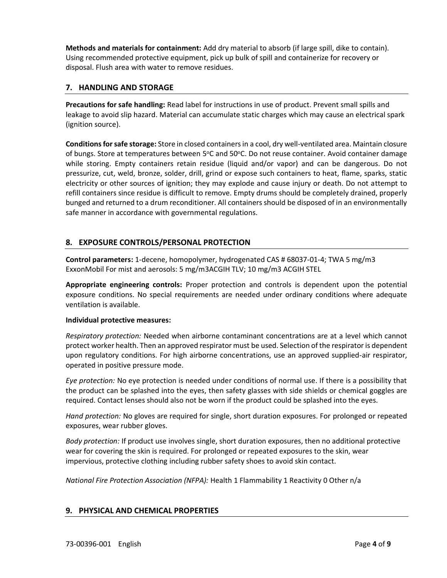**Methods and materials for containment:** Add dry material to absorb (if large spill, dike to contain). Using recommended protective equipment, pick up bulk of spill and containerize for recovery or disposal. Flush area with water to remove residues.

## **7. HANDLING AND STORAGE**

**Precautions for safe handling:** Read label for instructions in use of product. Prevent small spills and leakage to avoid slip hazard. Material can accumulate static charges which may cause an electrical spark (ignition source).

**Conditions for safe storage:** Store in closed containers in a cool, dry well-ventilated area. Maintain closure of bungs. Store at temperatures between 5°C and 50°C. Do not reuse container. Avoid container damage while storing. Empty containers retain residue (liquid and/or vapor) and can be dangerous. Do not pressurize, cut, weld, bronze, solder, drill, grind or expose such containers to heat, flame, sparks, static electricity or other sources of ignition; they may explode and cause injury or death. Do not attempt to refill containers since residue is difficult to remove. Empty drums should be completely drained, properly bunged and returned to a drum reconditioner. All containers should be disposed of in an environmentally safe manner in accordance with governmental regulations.

# **8. EXPOSURE CONTROLS/PERSONAL PROTECTION**

**Control parameters:** 1-decene, homopolymer, hydrogenated CAS # 68037-01-4; TWA 5 mg/m3 ExxonMobil For mist and aerosols: 5 mg/m3ACGIH TLV; 10 mg/m3 ACGIH STEL

**Appropriate engineering controls:** Proper protection and controls is dependent upon the potential exposure conditions. No special requirements are needed under ordinary conditions where adequate ventilation is available.

### **Individual protective measures:**

*Respiratory protection:* Needed when airborne contaminant concentrations are at a level which cannot protect worker health. Then an approved respirator must be used. Selection of the respirator is dependent upon regulatory conditions. For high airborne concentrations, use an approved supplied-air respirator, operated in positive pressure mode.

*Eye protection:* No eye protection is needed under conditions of normal use. If there is a possibility that the product can be splashed into the eyes, then safety glasses with side shields or chemical goggles are required. Contact lenses should also not be worn if the product could be splashed into the eyes.

*Hand protection:* No gloves are required for single, short duration exposures. For prolonged or repeated exposures, wear rubber gloves.

*Body protection:* If product use involves single, short duration exposures, then no additional protective wear for covering the skin is required. For prolonged or repeated exposures to the skin, wear impervious, protective clothing including rubber safety shoes to avoid skin contact.

*National Fire Protection Association (NFPA):* Health 1 Flammability 1 Reactivity 0 Other n/a

# **9. PHYSICAL AND CHEMICAL PROPERTIES**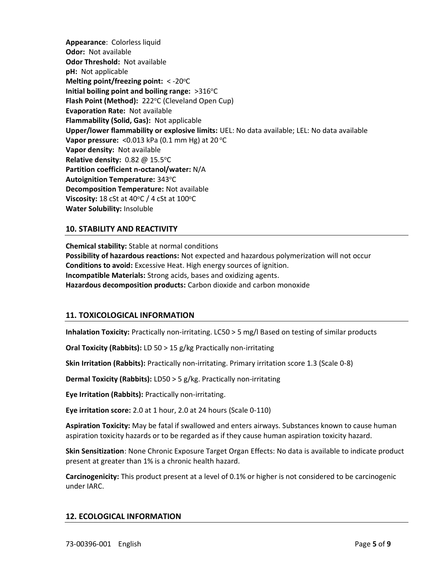**Appearance**: Colorless liquid **Odor:** Not available **Odor Threshold:** Not available **pH:** Not applicable **Melting point/freezing point: < -20 °C** Initial boiling point and boiling range: >316°C **Flash Point (Method): 222°C (Cleveland Open Cup) Evaporation Rate:** Not available **Flammability (Solid, Gas):** Not applicable **Upper/lower flammability or explosive limits:** UEL: No data available; LEL: No data available **Vapor pressure:** <0.013 kPa (0.1 mm Hg) at 20 °C **Vapor density:** Not available **Relative density:** 0.82 @ 15.5°C **Partition coefficient n-octanol/water:** N/A **Autoignition Temperature: 343 °C Decomposition Temperature:** Not available **Viscosity:** 18 cSt at 40°C / 4 cSt at 100°C **Water Solubility:** Insoluble

# **10. STABILITY AND REACTIVITY**

**Chemical stability:** Stable at normal conditions **Possibility of hazardous reactions:** Not expected and hazardous polymerization will not occur **Conditions to avoid:** Excessive Heat. High energy sources of ignition. **Incompatible Materials:** Strong acids, bases and oxidizing agents. **Hazardous decomposition products:** Carbon dioxide and carbon monoxide

### **11. TOXICOLOGICAL INFORMATION**

**Inhalation Toxicity:** Practically non-irritating. LC50 > 5 mg/l Based on testing of similar products

**Oral Toxicity (Rabbits):** LD 50 > 15 g/kg Practically non-irritating

**Skin Irritation (Rabbits):** Practically non-irritating. Primary irritation score 1.3 (Scale 0-8)

**Dermal Toxicity (Rabbits):** LD50 > 5 g/kg. Practically non-irritating

**Eye Irritation (Rabbits):** Practically non-irritating.

**Eye irritation score:** 2.0 at 1 hour, 2.0 at 24 hours (Scale 0-110)

**Aspiration Toxicity:** May be fatal if swallowed and enters airways. Substances known to cause human aspiration toxicity hazards or to be regarded as if they cause human aspiration toxicity hazard.

**Skin Sensitization**: None Chronic Exposure Target Organ Effects: No data is available to indicate product present at greater than 1% is a chronic health hazard.

**Carcinogenicity:** This product present at a level of 0.1% or higher is not considered to be carcinogenic under IARC.

#### **12. ECOLOGICAL INFORMATION**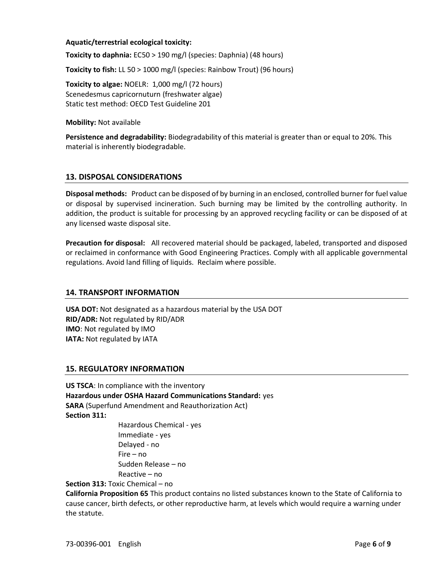#### **Aquatic/terrestrial ecological toxicity:**

**Toxicity to daphnia:** EC50 > 190 mg/l (species: Daphnia) (48 hours)

**Toxicity to fish:** LL 50 > 1000 mg/l (species: Rainbow Trout) (96 hours)

**Toxicity to algae:** NOELR: 1,000 mg/l (72 hours) Scenedesmus capricornuturn (freshwater algae) Static test method: OECD Test Guideline 201

**Mobility:** Not available

**Persistence and degradability:** Biodegradability of this material is greater than or equal to 20%. This material is inherently biodegradable.

## **13. DISPOSAL CONSIDERATIONS**

**Disposal methods:** Product can be disposed of by burning in an enclosed, controlled burner for fuel value or disposal by supervised incineration. Such burning may be limited by the controlling authority. In addition, the product is suitable for processing by an approved recycling facility or can be disposed of at any licensed waste disposal site.

**Precaution for disposal:** All recovered material should be packaged, labeled, transported and disposed or reclaimed in conformance with Good Engineering Practices. Comply with all applicable governmental regulations. Avoid land filling of liquids. Reclaim where possible.

#### **14. TRANSPORT INFORMATION**

**USA DOT:** Not designated as a hazardous material by the USA DOT **RID/ADR:** Not regulated by RID/ADR **IMO**: Not regulated by IMO **IATA:** Not regulated by IATA

### **15. REGULATORY INFORMATION**

**US TSCA**: In compliance with the inventory **Hazardous under OSHA Hazard Communications Standard:** yes **SARA** (Superfund Amendment and Reauthorization Act) **Section 311:**

> Hazardous Chemical - yes Immediate - yes Delayed - no Fire – no Sudden Release – no Reactive – no

**Section 313:** Toxic Chemical – no

**California Proposition 65** This product contains no listed substances known to the State of California to cause cancer, birth defects, or other reproductive harm, at levels which would require a warning under the statute.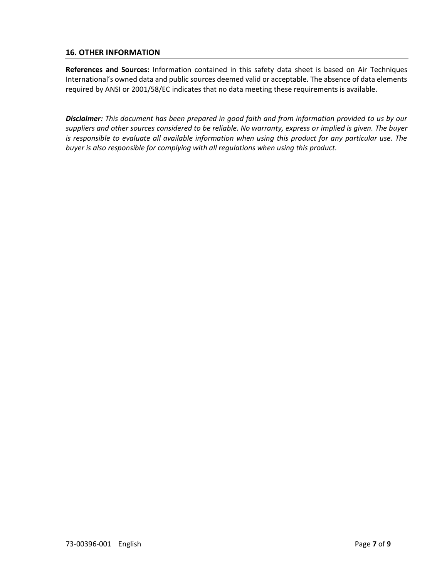# **16. OTHER INFORMATION**

**References and Sources:** Information contained in this safety data sheet is based on Air Techniques International's owned data and public sources deemed valid or acceptable. The absence of data elements required by ANSI or 2001/58/EC indicates that no data meeting these requirements is available.

*Disclaimer: This document has been prepared in good faith and from information provided to us by our suppliers and other sources considered to be reliable. No warranty, express or implied is given. The buyer is responsible to evaluate all available information when using this product for any particular use. The buyer is also responsible for complying with all regulations when using this product.*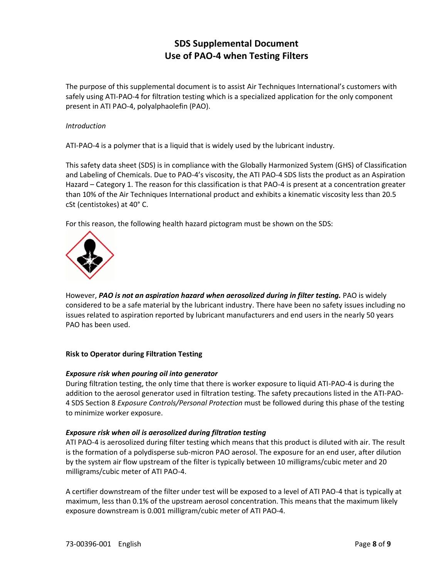# **SDS Supplemental Document Use of PAO-4 when Testing Filters**

The purpose of this supplemental document is to assist Air Techniques International's customers with safely using ATI-PAO-4 for filtration testing which is a specialized application for the only component present in ATI PAO-4, polyalphaolefin (PAO).

#### *Introduction*

ATI-PAO-4 is a polymer that is a liquid that is widely used by the lubricant industry.

This safety data sheet (SDS) is in compliance with the Globally Harmonized System (GHS) of Classification and Labeling of Chemicals. Due to PAO-4's viscosity, the ATI PAO-4 SDS lists the product as an Aspiration Hazard – Category 1. The reason for this classification is that PAO-4 is present at a concentration greater than 10% of the Air Techniques International product and exhibits a kinematic viscosity less than 20.5 cSt (centistokes) at 40° C.

For this reason, the following health hazard pictogram must be shown on the SDS:



However, *PAO is not an aspiration hazard when aerosolized during in filter testing.* PAO is widely considered to be a safe material by the lubricant industry. There have been no safety issues including no issues related to aspiration reported by lubricant manufacturers and end users in the nearly 50 years PAO has been used.

### **Risk to Operator during Filtration Testing**

#### *Exposure risk when pouring oil into generator*

During filtration testing, the only time that there is worker exposure to liquid ATI-PAO-4 is during the addition to the aerosol generator used in filtration testing. The safety precautions listed in the ATI-PAO-4 SDS Section 8 *Exposure Controls/Personal Protection* must be followed during this phase of the testing to minimize worker exposure.

#### *Exposure risk when oil is aerosolized during filtration testing*

ATI PAO-4 is aerosolized during filter testing which means that this product is diluted with air. The result is the formation of a polydisperse sub-micron PAO aerosol. The exposure for an end user, after dilution by the system air flow upstream of the filter is typically between 10 milligrams/cubic meter and 20 milligrams/cubic meter of ATI PAO-4.

A certifier downstream of the filter under test will be exposed to a level of ATI PAO-4 that is typically at maximum, less than 0.1% of the upstream aerosol concentration. This means that the maximum likely exposure downstream is 0.001 milligram/cubic meter of ATI PAO-4.